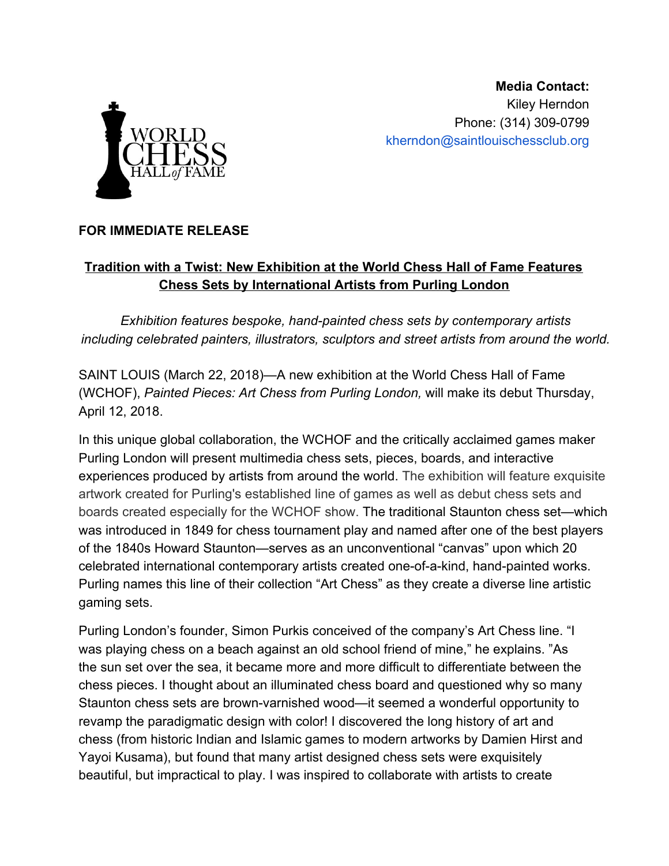

**Media Contact:** Kiley Herndon Phone: (314) 309-0799 kherndon@saintlouischessclub.org

## **FOR IMMEDIATE RELEASE**

## **Tradition with a Twist: New Exhibition at the World Chess Hall of Fame Features Chess Sets by International Artists from Purling London**

*Exhibition features bespoke, hand-painted chess sets by contemporary artists including celebrated painters, illustrators, sculptors and street artists from around the world.*

SAINT LOUIS (March 22, 2018)—A new exhibition at the World Chess Hall of Fame (WCHOF), *Painted Pieces: Art Chess from Purling London,* will make its debut Thursday, April 12, 2018.

In this unique global collaboration, the WCHOF and the critically acclaimed games maker Purling London will present multimedia chess sets, pieces, boards, and interactive experiences produced by artists from around the world. The exhibition will feature exquisite artwork created for Purling's established line of games as well as debut chess sets and boards created especially for the WCHOF show. The traditional Staunton chess set—which was introduced in 1849 for chess tournament play and named after one of the best players of the 1840s Howard Staunton—serves as an unconventional "canvas" upon which 20 celebrated international contemporary artists created one-of-a-kind, hand-painted works. Purling names this line of their collection "Art Chess" as they create a diverse line artistic gaming sets.

Purling London's founder, Simon Purkis conceived of the company's Art Chess line. "I was playing chess on a beach against an old school friend of mine," he explains. "As the sun set over the sea, it became more and more difficult to differentiate between the chess pieces. I thought about an illuminated chess board and questioned why so many Staunton chess sets are brown-varnished wood—it seemed a wonderful opportunity to revamp the paradigmatic design with color! I discovered the long history of art and chess (from historic Indian and Islamic games to modern artworks by Damien Hirst and Yayoi Kusama), but found that many artist designed chess sets were exquisitely beautiful, but impractical to play. I was inspired to collaborate with artists to create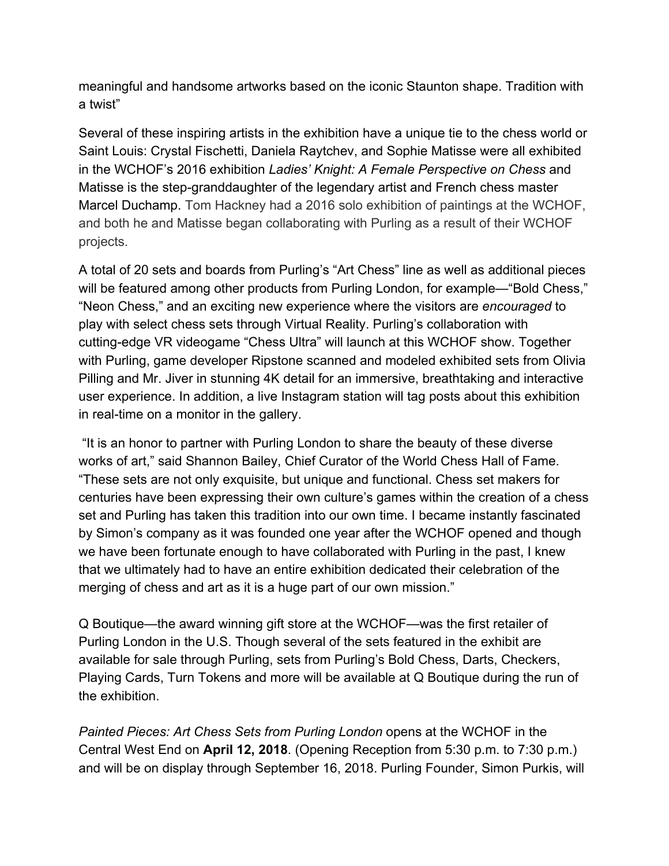meaningful and handsome artworks based on the iconic Staunton shape. Tradition with a twist"

Several of these inspiring artists in the exhibition have a unique tie to the chess world or Saint Louis: Crystal Fischetti, Daniela Raytchev, and Sophie Matisse were all exhibited in the WCHOF's 2016 exhibition *Ladies' Knight: A Female Perspective on Chess* and Matisse is the step-granddaughter of the legendary artist and French chess master Marcel Duchamp. Tom Hackney had a 2016 solo exhibition of paintings at the WCHOF, and both he and Matisse began collaborating with Purling as a result of their WCHOF projects.

A total of 20 sets and boards from Purling's "Art Chess" line as well as additional pieces will be featured among other products from Purling London, for example—"Bold Chess," "Neon Chess," and an exciting new experience where the visitors are *encouraged* to play with select chess sets through Virtual Reality. Purling's collaboration with cutting-edge VR videogame "Chess Ultra" will launch at this WCHOF show. Together with Purling, game developer Ripstone scanned and modeled exhibited sets from Olivia Pilling and Mr. Jiver in stunning 4K detail for an immersive, breathtaking and interactive user experience. In addition, a live Instagram station will tag posts about this exhibition in real-time on a monitor in the gallery.

 "It is an honor to partner with Purling London to share the beauty of these diverse works of art," said Shannon Bailey, Chief Curator of the World Chess Hall of Fame. "These sets are not only exquisite, but unique and functional. Chess set makers for centuries have been expressing their own culture's games within the creation of a chess set and Purling has taken this tradition into our own time. I became instantly fascinated by Simon's company as it was founded one year after the WCHOF opened and though we have been fortunate enough to have collaborated with Purling in the past, I knew that we ultimately had to have an entire exhibition dedicated their celebration of the merging of chess and art as it is a huge part of our own mission."

Q Boutique—the award winning gift store at the WCHOF—was the first retailer of Purling London in the U.S. Though several of the sets featured in the exhibit are available for sale through Purling, sets from Purling's Bold Chess, Darts, Checkers, Playing Cards, Turn Tokens and more will be available at Q Boutique during the run of the exhibition.

*Painted Pieces: Art Chess Sets from Purling London* opens at the WCHOF in the Central West End on **April 12, 2018**. (Opening Reception from 5:30 p.m. to 7:30 p.m.) and will be on display through September 16, 2018. Purling Founder, Simon Purkis, will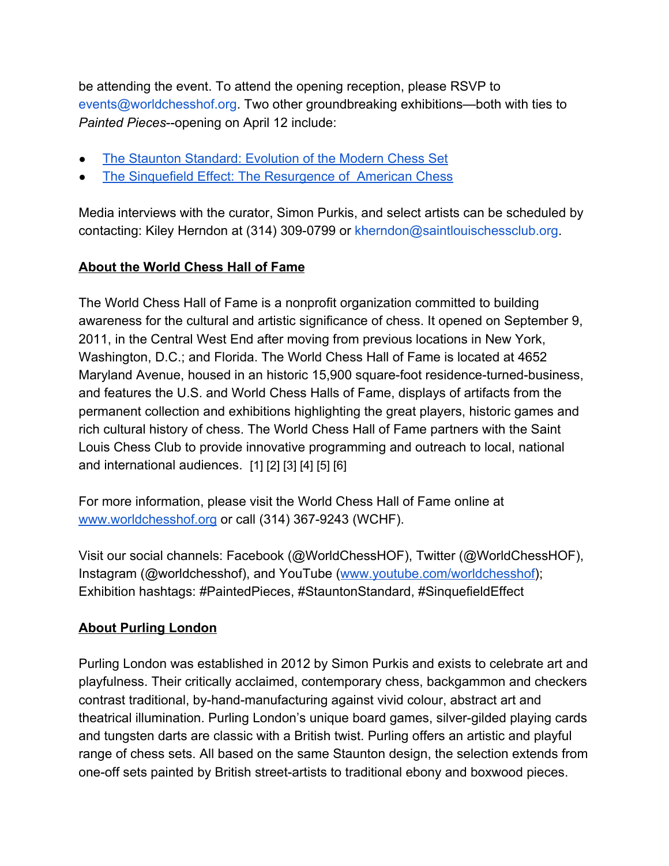be attending the event. To attend the opening reception, please RSVP to events@worldchesshof.org. Two other groundbreaking exhibitions—both with ties to *Painted Pieces*--opening on April 12 include:

- [The Staunton Standard: Evolution of the Modern Chess Set](https://worldchesshof.org/exhibit/staunton-standard-evolution-modern-chess-set)
- [The Sinquefield Effect: The Resurgence of American Chess](https://worldchesshof.org/exhibit/sinquefield-effect-resurgence-american-chess)

Media interviews with the curator, Simon Purkis, and select artists can be scheduled by contacting: Kiley Herndon at (314) 309-0799 or kherndon@saintlouischessclub.org.

## **About the World Chess Hall of Fame**

The World Chess Hall of Fame is a nonprofit organization committed to building awareness for the cultural and artistic significance of chess. It opened on September 9, 2011, in the Central West End after moving from previous locations in New York, Washington, D.C.; and Florida. The World Chess Hall of Fame is located at 4652 Maryland Avenue, housed in an historic 15,900 square-foot residence-turned-business, and features the U.S. and World Chess Halls of Fame, displays of artifacts from the permanent collection and exhibitions highlighting the great players, historic games and rich cultural history of chess. The World Chess Hall of Fame partners with the Saint Louis Chess Club to provide innovative programming and outreach to local, national and international audiences. [1] [2] [3] [4] [5] [6]

For more information, please visit the World Chess Hall of Fame online a[t](http://www.worldchesshof.org/) [www.worldchesshof.org](http://www.worldchesshof.org/) or call (314) 367-9243 (WCHF).

Visit our social channels: Facebook (@WorldChessHOF), Twitter (@WorldChessHOF), Instagram (@worldchesshof), and YouTube ([www.youtube.com/worldchesshof\)](http://www.youtube.com/worldchesshof); Exhibition hashtags: #PaintedPieces, #StauntonStandard, #SinquefieldEffect

## **About Purling London**

Purling London was established in 2012 by Simon Purkis and exists to celebrate art and playfulness. Their critically acclaimed, contemporary chess, backgammon and checkers contrast traditional, by-hand-manufacturing against vivid colour, abstract art and theatrical illumination. Purling London's unique board games, silver-gilded playing cards and tungsten darts are classic with a British twist. Purling offers an artistic and playful range of chess sets. All based on the same Staunton design, the selection extends from one-off sets painted by British street-artists to traditional ebony and boxwood pieces.